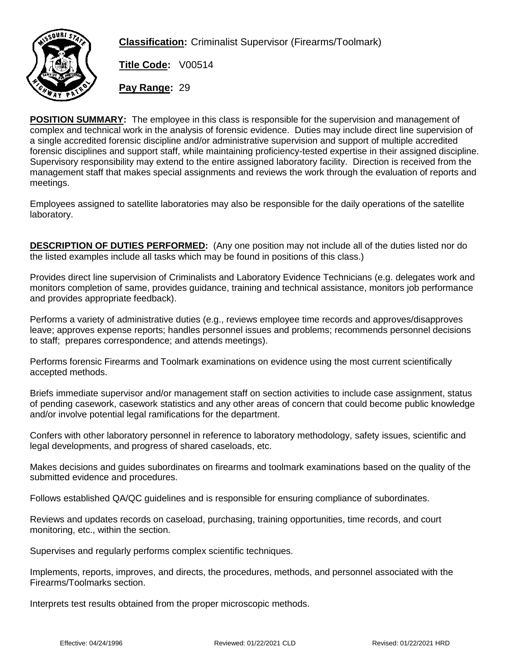

**Classification:** Criminalist Supervisor (Firearms/Toolmark)

**Title Code:** V00514 **Pay Range:** 29

**POSITION SUMMARY: The employee in this class is responsible for the supervision and management of complex and technical work in the analysis of forensic evidence. Duties may include direct line supervision of a single accredited forensic discipline and/or administrative supervision and support of multiple accredited forensic disciplines and support staff, while maintaining proficiency-tested expertise in their assigned discipline. Supervisory responsibility may extend to the entire assigned laboratory facility. Direction is received from the management staff that makes special assignments and reviews the work through the evaluation of reports and meetings.**

**Employees assigned to satellite laboratories may also be responsible for the daily operations of the satellite laboratory.**

**DESCRIPTION OF DUTIES PERFORMED:** (Any one position may not include all of the duties listed nor do the listed examples include all tasks which may be found in positions of this class.)

**Provides direct line supervision of Criminalists and Laboratory Evidence Technicians (e.g. delegates work and monitors completion of same, provides guidance, training and technical assistance, monitors job performance and provides appropriate feedback).**

**Performs a variety of administrative duties (e.g., reviews employee time records and approves/disapproves leave; approves expense reports; handles personnel issues and problems; recommends personnel decisions to staff; prepares correspondence; and attends meetings).**

**Performs forensic Firearms and Toolmark examinations on evidence using the most current scientifically accepted methods.**

**Briefs immediate supervisor and/or management staff on section activities to include case assignment, status of pending casework, casework statistics and any other areas of concern that could become public knowledge and/or involve potential legal ramifications for the department.**

**Confers with other laboratory personnel in reference to laboratory methodology, safety issues, scientific and legal developments, and progress of shared caseloads, etc.**

**Makes decisions and guides subordinates on firearms and toolmark examinations based on the quality of the submitted evidence and procedures.**

**Follows established QA/QC guidelines and is responsible for ensuring compliance of subordinates.**

**Reviews and updates records on caseload, purchasing, training opportunities, time records, and court monitoring, etc., within the section.**

**Supervises and regularly performs complex scientific techniques.**

**Implements, reports, improves, and directs, the procedures, methods, and personnel associated with the Firearms/Toolmarks section.**

**Interprets test results obtained from the proper microscopic methods.**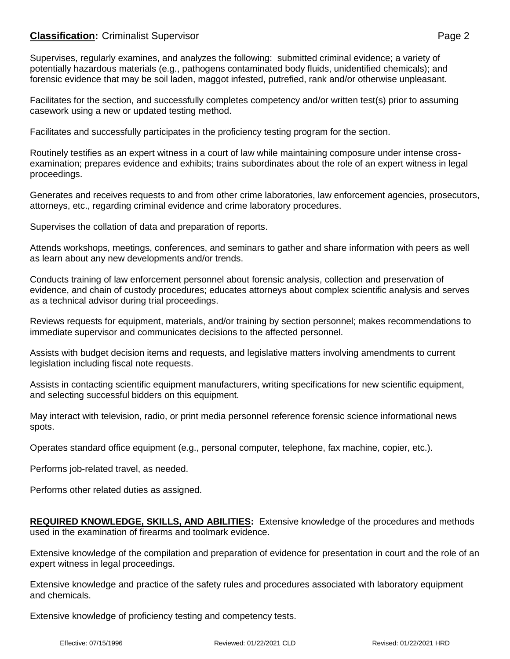## **Classification:** Criminalist Supervisor **Page 2**

**Supervises, regularly examines, and analyzes the following: submitted criminal evidence; a variety of potentially hazardous materials (e.g., pathogens contaminated body fluids, unidentified chemicals); and forensic evidence that may be soil laden, maggot infested, putrefied, rank and/or otherwise unpleasant.**

**Facilitates for the section, and successfully completes competency and/or written test(s) prior to assuming casework using a new or updated testing method.**

**Facilitates and successfully participates in the proficiency testing program for the section.**

**Routinely testifies as an expert witness in a court of law while maintaining composure under intense crossexamination; prepares evidence and exhibits; trains subordinates about the role of an expert witness in legal proceedings.** 

**Generates and receives requests to and from other crime laboratories, law enforcement agencies, prosecutors, attorneys, etc., regarding criminal evidence and crime laboratory procedures.**

**Supervises the collation of data and preparation of reports.**

**Attends workshops, meetings, conferences, and seminars to gather and share information with peers as well as learn about any new developments and/or trends.**

**Conducts training of law enforcement personnel about forensic analysis, collection and preservation of evidence, and chain of custody procedures; educates attorneys about complex scientific analysis and serves as a technical advisor during trial proceedings.**

**Reviews requests for equipment, materials, and/or training by section personnel; makes recommendations to immediate supervisor and communicates decisions to the affected personnel.**

**Assists with budget decision items and requests, and legislative matters involving amendments to current legislation including fiscal note requests.**

**Assists in contacting scientific equipment manufacturers, writing specifications for new scientific equipment, and selecting successful bidders on this equipment.**

**May interact with television, radio, or print media personnel reference forensic science informational news spots.**

**Operates standard office equipment (e.g., personal computer, telephone, fax machine, copier, etc.).**

**Performs job-related travel, as needed.**

**Performs other related duties as assigned.**

**REQUIRED KNOWLEDGE, SKILLS, AND ABILITIES: Extensive knowledge of the procedures and methods used in the examination of firearms and toolmark evidence.**

**Extensive knowledge of the compilation and preparation of evidence for presentation in court and the role of an expert witness in legal proceedings.**

**Extensive knowledge and practice of the safety rules and procedures associated with laboratory equipment and chemicals.**

**Extensive knowledge of proficiency testing and competency tests.**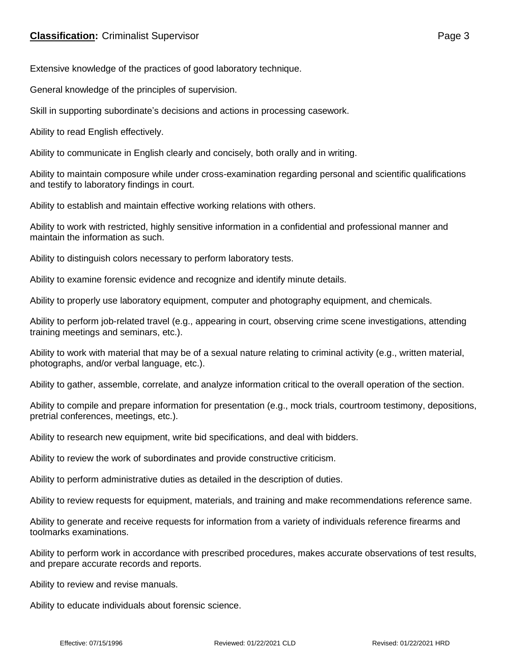## **Extensive knowledge of the practices of good laboratory technique.**

**General knowledge of the principles of supervision.**

## **Skill in supporting subordinate's decisions and actions in processing casework.**

## **Ability to read English effectively.**

## **Ability to communicate in English clearly and concisely, both orally and in writing.**

Ability to maintain composure while under cross-examination regarding personal and scientific qualifications and testify to laboratory findings in court.

Ability to establish and maintain effective working relations with others.

### **Ability to work with restricted, highly sensitive information in a confidential and professional manner and maintain the information as such.**

Ability to distinguish colors necessary to perform laboratory tests.

Ability to examine forensic evidence and recognize and identify minute details.

Ability to properly use laboratory equipment, computer and photography equipment, and chemicals.

Ability to perform job-related travel (e.g., appearing in court, observing crime scene investigations, attending training meetings and seminars, etc.).

Ability to work with material that may be of a sexual nature relating to criminal activity (e.g., written material, photographs, and/or verbal language, etc.).

Ability to gather, assemble, correlate, and analyze information critical to the overall operation of the section.

Ability to compile and prepare information for presentation (e.g., mock trials, courtroom testimony, depositions, pretrial conferences, meetings, etc.).

#### **Ability to research new equipment, write bid specifications, and deal with bidders.**

**Ability to review the work of subordinates and provide constructive criticism.**

#### **Ability to perform administrative duties as detailed in the description of duties.**

Ability to review requests for equipment, materials, and training and make recommendations reference same.

Ability to generate and receive requests for information from a variety of individuals reference firearms and toolmarks examinations.

Ability to perform work in accordance with prescribed procedures, makes accurate observations of test results, and prepare accurate records and reports.

Ability to review and revise manuals.

Ability to educate individuals about forensic science.